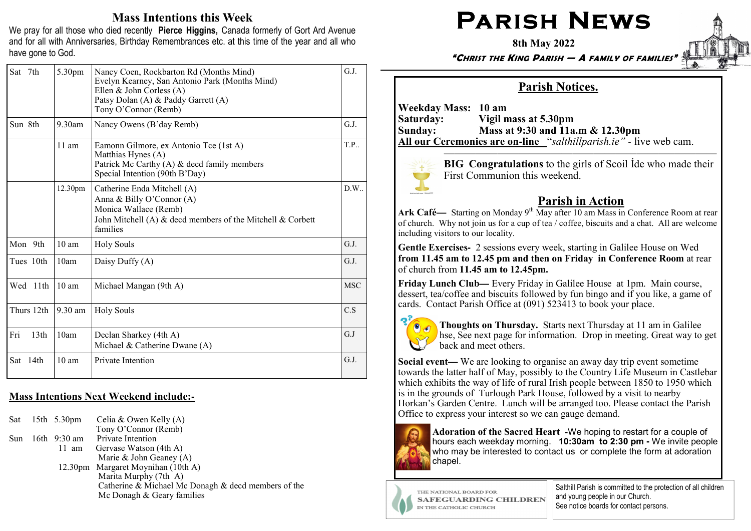# Mass Intentions this Week

We pray for all those who died recently Pierce Higgins, Canada formerly of Gort Ard Avenue and for all with Anniversaries, Birthday Remembrances etc. at this time of the year and all who have gone to God.

| Sat 7th                 | 5.30pm            | Nancy Coen, Rockbarton Rd (Months Mind)<br>Evelyn Kearney, San Antonio Park (Months Mind)<br>Ellen & John Corless (A)<br>Patsy Dolan (A) & Paddy Garrett (A)<br>Tony O'Connor (Remb) | G.J.       |
|-------------------------|-------------------|--------------------------------------------------------------------------------------------------------------------------------------------------------------------------------------|------------|
| Sun 8th                 | $9.30$ am         | Nancy Owens (B'day Remb)                                                                                                                                                             | G.J.       |
|                         | $11 \text{ am}$   | Eamonn Gilmore, ex Antonio Tce (1st A)<br>Matthias Hynes (A)<br>Patrick Mc Carthy (A) & decd family members<br>Special Intention (90th B'Day)                                        | T.P.       |
|                         | 12.30pm           | Catherine Enda Mitchell (A)<br>Anna & Billy O'Connor (A)<br>Monica Wallace (Remb)<br>John Mitchell (A) & decd members of the Mitchell & Corbett<br>families                          | D.W.       |
| Mon 9th                 | $10 \text{ am}$   | Holy Souls                                                                                                                                                                           | G.J.       |
| Tues 10th               | 10am              | Daisy Duffy (A)                                                                                                                                                                      | G.J.       |
| Wed 11th                | $10 \text{ am}$   | Michael Mangan (9th A)                                                                                                                                                               | <b>MSC</b> |
| Thurs 12th              | $9.30 \text{ am}$ | <b>Holy Souls</b>                                                                                                                                                                    | C.S        |
| Fri<br>13 <sub>th</sub> | 10am              | Declan Sharkey (4th A)<br>Michael & Catherine Dwane (A)                                                                                                                              | G.J        |
| 14th<br>Sat             | 10 <sub>am</sub>  | Private Intention                                                                                                                                                                    | G.J.       |

#### Mass Intentions Next Weekend include:**-**

|  | Sat $15th$ 5.30pm  | Celia & Owen Kelly $(A)$                            |
|--|--------------------|-----------------------------------------------------|
|  |                    | Tony O'Connor (Remb)                                |
|  | Sun $16th$ 9:30 am | Private Intention                                   |
|  | 11 am              | Gervase Watson (4th A)                              |
|  |                    | Marie & John Geaney $(A)$                           |
|  |                    | 12.30pm Margaret Moynihan (10th A)                  |
|  |                    | Marita Murphy (7th A)                               |
|  |                    | Catherine & Michael Mc Donagh & decd members of the |
|  |                    | Mc Donagh & Geary families                          |
|  |                    |                                                     |

# $\mathsf{PARISH}\ \mathsf{N}\mathsf{EWS}$

8th May 2022

"CHRIST THE KING PARISH — A FAMILY OF FAMILIES"

# Parish Notices.

Weekday Mass: 10 am Saturday: Vigil mass at 5.30pm Sunday: Mass at 9:30 and 11a.m & 12.30pm All our Ceremonies are on**-**line "salthillparish.ie" *-* live web cam.



**BIG** Congratulations to the girls of Scoil Ide who made their First Communion this weekend.

# Parish in Action

Ark Café— Starting on Monday 9<sup>th</sup> May after 10 am Mass in Conference Room at rear<br>of church. Why not join us for a cup of tea / coffee, biscuits and a chat. All are welcome of church. Why not join us for a cup of tea / coffee, biscuits and a chat. All are welcome including visitors to our locality.

Gentle Exercises**-** 2 sessions every week, starting in Galilee House on Wed from 11.45 am to 12.45 pm and then on Friday in Conference Room at rear of church from 11.45 am to 12.45pm.

Friday Lunch Club**—**Friday Lunch Club— Every Friday in Galilee House at 1pm. Main course,<br>dessert, tea/coffee and biscuits followed by fun bingo and if you like, a game of cards. Contact Parish Office at (091) 523413 to book your place.



Thoughts on Thursday. Starts next Thursday at 11 am in Galilee hse, See next page for information. Drop in meeting. Great way to get back and meet others.

Social event**—Social event**— We are looking to organise an away day trip event sometime<br>towards the latter half of May, possibly to the Country Life Museum in Castlebar which exhibits the way of life of rural Irish people between 1850 to 1950 which is in the grounds of Turlough Park House, followed by a visit to nearby Horkan's Garden Centre. Lunch will be arranged too. Please contact the Parish Office to express your interest so we can gauge demand.



Adoration of the Sacred Heart **-**We hoping to restart for a couple of hours each weekday morning. 10:30am to 2:30 pm **-** We invite people who may be interested to contact us or complete the form at adoration chapel.

THE NATIONAL BOARD FOR **SAFEGUARDING CHILDREN** IN THE CATHOLIC CHURCH

Salthill Parish is committed to the protection of all children and young people in our Church. See notice boards for contact persons.